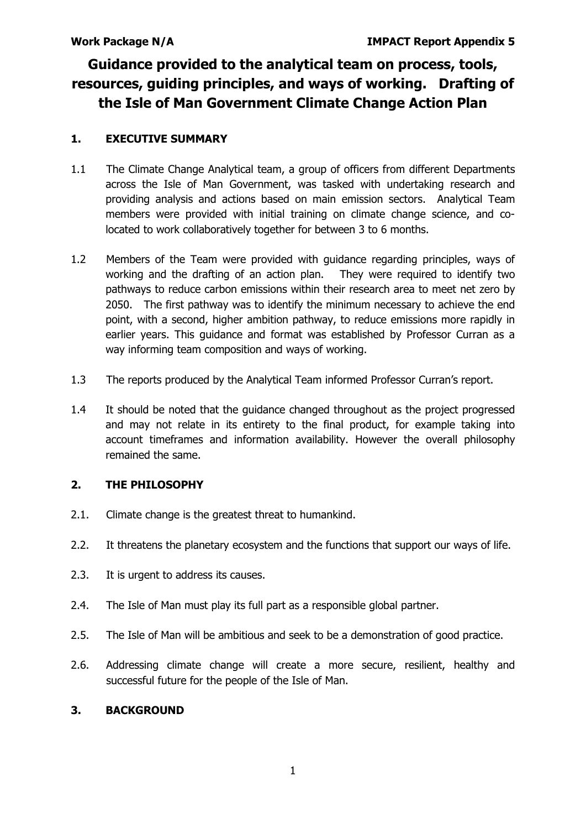# **Guidance provided to the analytical team on process, tools, resources, guiding principles, and ways of working. Drafting of the Isle of Man Government Climate Change Action Plan**

# **1. EXECUTIVE SUMMARY**

- 1.1 The Climate Change Analytical team, a group of officers from different Departments across the Isle of Man Government, was tasked with undertaking research and providing analysis and actions based on main emission sectors. Analytical Team members were provided with initial training on climate change science, and colocated to work collaboratively together for between 3 to 6 months.
- 1.2 Members of the Team were provided with guidance regarding principles, ways of working and the drafting of an action plan. They were required to identify two pathways to reduce carbon emissions within their research area to meet net zero by 2050. The first pathway was to identify the minimum necessary to achieve the end point, with a second, higher ambition pathway, to reduce emissions more rapidly in earlier years. This guidance and format was established by Professor Curran as a way informing team composition and ways of working.
- 1.3 The reports produced by the Analytical Team informed Professor Curran's report.
- 1.4 It should be noted that the guidance changed throughout as the project progressed and may not relate in its entirety to the final product, for example taking into account timeframes and information availability. However the overall philosophy remained the same.

# **2. THE PHILOSOPHY**

- 2.1. Climate change is the greatest threat to humankind.
- 2.2. It threatens the planetary ecosystem and the functions that support our ways of life.
- 2.3. It is urgent to address its causes.
- 2.4. The Isle of Man must play its full part as a responsible global partner.
- 2.5. The Isle of Man will be ambitious and seek to be a demonstration of good practice.
- 2.6. Addressing climate change will create a more secure, resilient, healthy and successful future for the people of the Isle of Man.

### **3. BACKGROUND**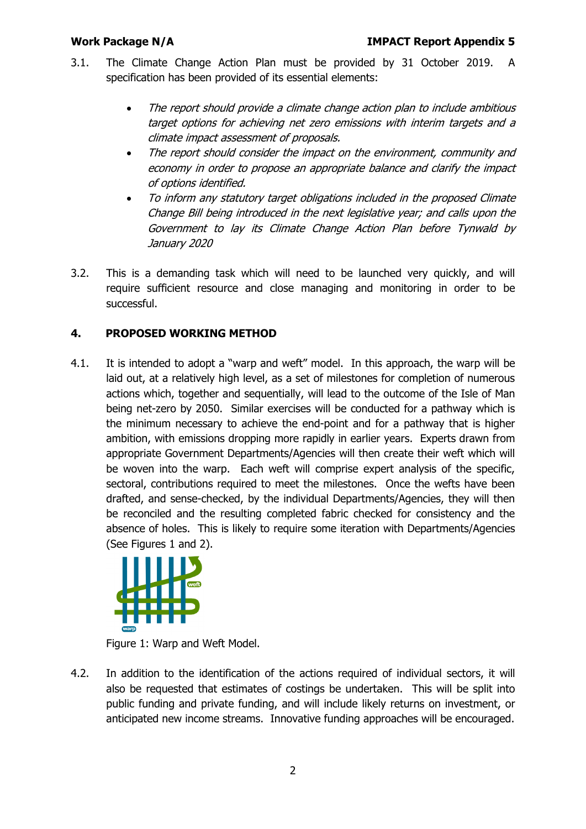- 3.1. The Climate Change Action Plan must be provided by 31 October 2019. A specification has been provided of its essential elements:
	- The report should provide a climate change action plan to include ambitious target options for achieving net zero emissions with interim targets and a climate impact assessment of proposals.
	- The report should consider the impact on the environment, community and economy in order to propose an appropriate balance and clarify the impact of options identified.
	- To inform any statutory target obligations included in the proposed Climate Change Bill being introduced in the next legislative year; and calls upon the Government to lay its Climate Change Action Plan before Tynwald by January 2020
- 3.2. This is a demanding task which will need to be launched very quickly, and will require sufficient resource and close managing and monitoring in order to be successful.

# **4. PROPOSED WORKING METHOD**

4.1. It is intended to adopt a "warp and weft" model. In this approach, the warp will be laid out, at a relatively high level, as a set of milestones for completion of numerous actions which, together and sequentially, will lead to the outcome of the Isle of Man being net-zero by 2050. Similar exercises will be conducted for a pathway which is the minimum necessary to achieve the end-point and for a pathway that is higher ambition, with emissions dropping more rapidly in earlier years. Experts drawn from appropriate Government Departments/Agencies will then create their weft which will be woven into the warp. Each weft will comprise expert analysis of the specific, sectoral, contributions required to meet the milestones. Once the wefts have been drafted, and sense-checked, by the individual Departments/Agencies, they will then be reconciled and the resulting completed fabric checked for consistency and the absence of holes. This is likely to require some iteration with Departments/Agencies (See Figures 1 and 2).



Figure 1: Warp and Weft Model.

4.2. In addition to the identification of the actions required of individual sectors, it will also be requested that estimates of costings be undertaken. This will be split into public funding and private funding, and will include likely returns on investment, or anticipated new income streams. Innovative funding approaches will be encouraged.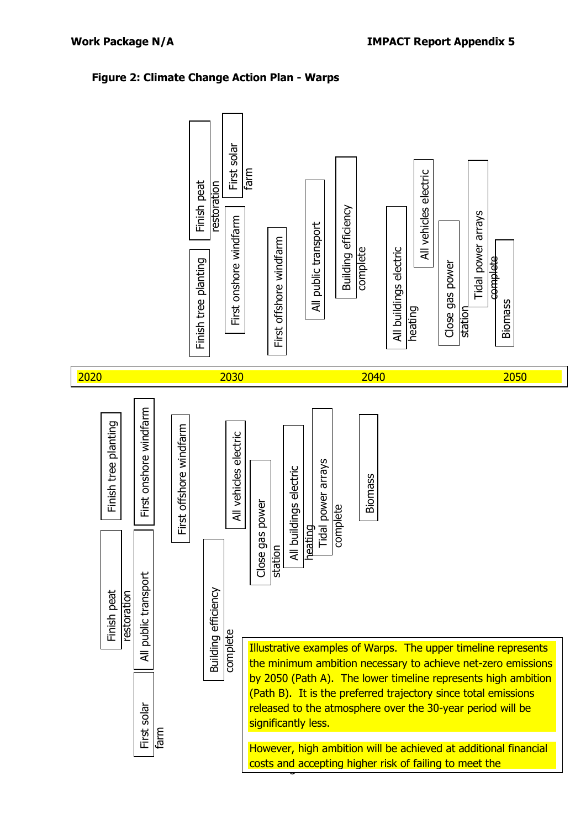# **Figure 2: Climate Change Action Plan - Warps**

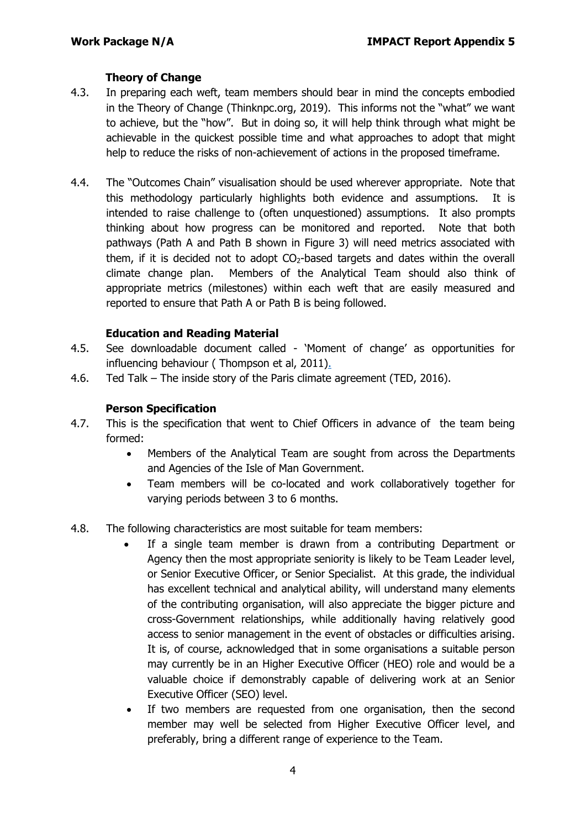# **Theory of Change**

- 4.3. In preparing each weft, team members should bear in mind the concepts embodied in the Theory of Change (Thinknpc.org, 2019). This informs not the "what" we want to achieve, but the "how". But in doing so, it will help think through what might be achievable in the quickest possible time and what approaches to adopt that might help to reduce the risks of non-achievement of actions in the proposed timeframe.
- 4.4. The "Outcomes Chain" visualisation should be used wherever appropriate. Note that this methodology particularly highlights both evidence and assumptions. It is intended to raise challenge to (often unquestioned) assumptions. It also prompts thinking about how progress can be monitored and reported. Note that both pathways (Path A and Path B shown in Figure 3) will need metrics associated with them, if it is decided not to adopt  $CO<sub>2</sub>$ -based targets and dates within the overall climate change plan. Members of the Analytical Team should also think of appropriate metrics (milestones) within each weft that are easily measured and reported to ensure that Path A or Path B is being followed.

### **Education and Reading Material**

- 4.5. See downloadable document called 'Moment of change' as opportunities for influencing behaviour ( Thompson et al, 2011).
- 4.6. Ted Talk The inside story of the Paris climate agreement (TED, 2016).

### **Person Specification**

- 4.7. This is the specification that went to Chief Officers in advance of the team being formed:
	- Members of the Analytical Team are sought from across the Departments and Agencies of the Isle of Man Government.
	- Team members will be co-located and work collaboratively together for varying periods between 3 to 6 months.
- 4.8. The following characteristics are most suitable for team members:
	- If a single team member is drawn from a contributing Department or Agency then the most appropriate seniority is likely to be Team Leader level, or Senior Executive Officer, or Senior Specialist. At this grade, the individual has excellent technical and analytical ability, will understand many elements of the contributing organisation, will also appreciate the bigger picture and cross-Government relationships, while additionally having relatively good access to senior management in the event of obstacles or difficulties arising. It is, of course, acknowledged that in some organisations a suitable person may currently be in an Higher Executive Officer (HEO) role and would be a valuable choice if demonstrably capable of delivering work at an Senior Executive Officer (SEO) level.
	- If two members are requested from one organisation, then the second member may well be selected from Higher Executive Officer level, and preferably, bring a different range of experience to the Team.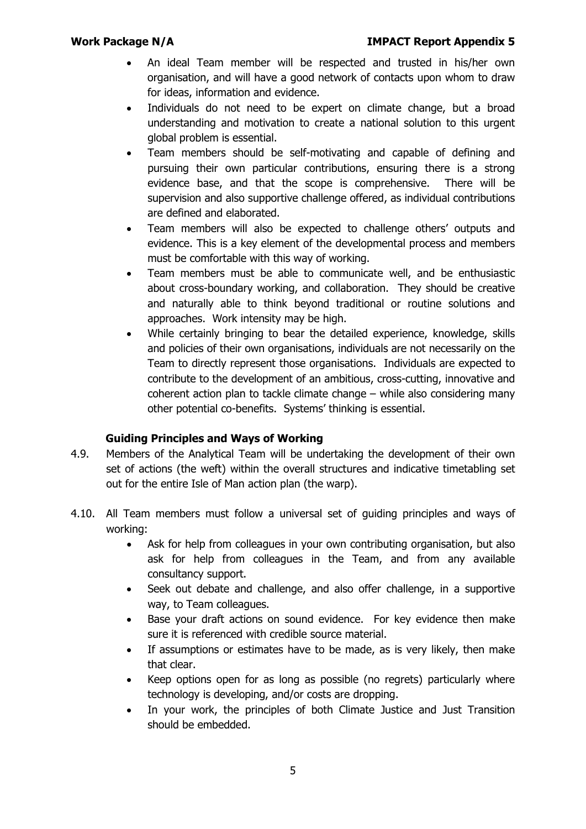- An ideal Team member will be respected and trusted in his/her own organisation, and will have a good network of contacts upon whom to draw for ideas, information and evidence.
- Individuals do not need to be expert on climate change, but a broad understanding and motivation to create a national solution to this urgent global problem is essential.
- Team members should be self-motivating and capable of defining and pursuing their own particular contributions, ensuring there is a strong evidence base, and that the scope is comprehensive. There will be supervision and also supportive challenge offered, as individual contributions are defined and elaborated.
- Team members will also be expected to challenge others' outputs and evidence. This is a key element of the developmental process and members must be comfortable with this way of working.
- Team members must be able to communicate well, and be enthusiastic about cross-boundary working, and collaboration. They should be creative and naturally able to think beyond traditional or routine solutions and approaches. Work intensity may be high.
- While certainly bringing to bear the detailed experience, knowledge, skills and policies of their own organisations, individuals are not necessarily on the Team to directly represent those organisations. Individuals are expected to contribute to the development of an ambitious, cross-cutting, innovative and coherent action plan to tackle climate change – while also considering many other potential co-benefits. Systems' thinking is essential.

# **Guiding Principles and Ways of Working**

- 4.9. Members of the Analytical Team will be undertaking the development of their own set of actions (the weft) within the overall structures and indicative timetabling set out for the entire Isle of Man action plan (the warp).
- 4.10. All Team members must follow a universal set of guiding principles and ways of working:
	- Ask for help from colleagues in your own contributing organisation, but also ask for help from colleagues in the Team, and from any available consultancy support.
	- Seek out debate and challenge, and also offer challenge, in a supportive way, to Team colleagues.
	- Base your draft actions on sound evidence. For key evidence then make sure it is referenced with credible source material.
	- If assumptions or estimates have to be made, as is very likely, then make that clear.
	- Keep options open for as long as possible (no regrets) particularly where technology is developing, and/or costs are dropping.
	- In your work, the principles of both Climate Justice and Just Transition should be embedded.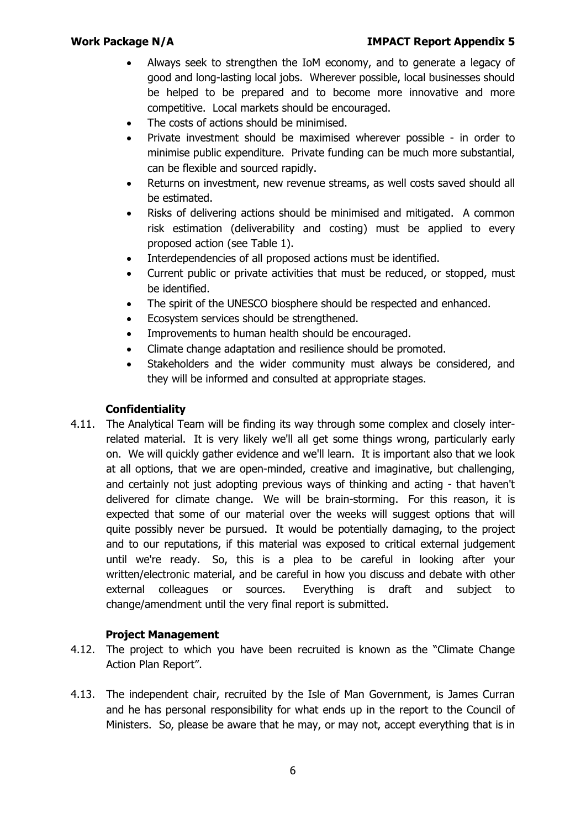- Always seek to strengthen the IoM economy, and to generate a legacy of good and long-lasting local jobs. Wherever possible, local businesses should be helped to be prepared and to become more innovative and more competitive. Local markets should be encouraged.
- The costs of actions should be minimised.
- Private investment should be maximised wherever possible in order to minimise public expenditure. Private funding can be much more substantial, can be flexible and sourced rapidly.
- Returns on investment, new revenue streams, as well costs saved should all be estimated.
- Risks of delivering actions should be minimised and mitigated. A common risk estimation (deliverability and costing) must be applied to every proposed action (see Table 1).
- Interdependencies of all proposed actions must be identified.
- Current public or private activities that must be reduced, or stopped, must be identified.
- The spirit of the UNESCO biosphere should be respected and enhanced.
- Ecosystem services should be strengthened.
- Improvements to human health should be encouraged.
- Climate change adaptation and resilience should be promoted.
- Stakeholders and the wider community must always be considered, and they will be informed and consulted at appropriate stages.

# **Confidentiality**

4.11. The Analytical Team will be finding its way through some complex and closely interrelated material. It is very likely we'll all get some things wrong, particularly early on. We will quickly gather evidence and we'll learn. It is important also that we look at all options, that we are open-minded, creative and imaginative, but challenging, and certainly not just adopting previous ways of thinking and acting - that haven't delivered for climate change. We will be brain-storming. For this reason, it is expected that some of our material over the weeks will suggest options that will quite possibly never be pursued. It would be potentially damaging, to the project and to our reputations, if this material was exposed to critical external judgement until we're ready. So, this is a plea to be careful in looking after your written/electronic material, and be careful in how you discuss and debate with other external colleagues or sources. Everything is draft and subject to change/amendment until the very final report is submitted.

# **Project Management**

- 4.12. The project to which you have been recruited is known as the "Climate Change Action Plan Report".
- 4.13. The independent chair, recruited by the Isle of Man Government, is James Curran and he has personal responsibility for what ends up in the report to the Council of Ministers. So, please be aware that he may, or may not, accept everything that is in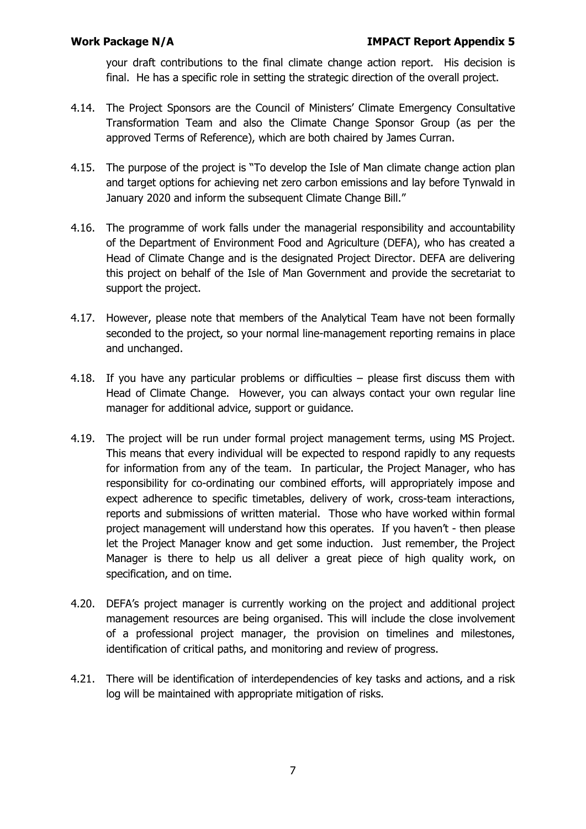your draft contributions to the final climate change action report. His decision is final. He has a specific role in setting the strategic direction of the overall project.

- 4.14. The Project Sponsors are the Council of Ministers' Climate Emergency Consultative Transformation Team and also the Climate Change Sponsor Group (as per the approved Terms of Reference), which are both chaired by James Curran.
- 4.15. The purpose of the project is "To develop the Isle of Man climate change action plan and target options for achieving net zero carbon emissions and lay before Tynwald in January 2020 and inform the subsequent Climate Change Bill."
- 4.16. The programme of work falls under the managerial responsibility and accountability of the Department of Environment Food and Agriculture (DEFA), who has created a Head of Climate Change and is the designated Project Director. DEFA are delivering this project on behalf of the Isle of Man Government and provide the secretariat to support the project.
- 4.17. However, please note that members of the Analytical Team have not been formally seconded to the project, so your normal line-management reporting remains in place and unchanged.
- 4.18. If you have any particular problems or difficulties please first discuss them with Head of Climate Change. However, you can always contact your own regular line manager for additional advice, support or guidance.
- 4.19. The project will be run under formal project management terms, using MS Project. This means that every individual will be expected to respond rapidly to any requests for information from any of the team. In particular, the Project Manager, who has responsibility for co-ordinating our combined efforts, will appropriately impose and expect adherence to specific timetables, delivery of work, cross-team interactions, reports and submissions of written material. Those who have worked within formal project management will understand how this operates. If you haven't - then please let the Project Manager know and get some induction. Just remember, the Project Manager is there to help us all deliver a great piece of high quality work, on specification, and on time.
- 4.20. DEFA's project manager is currently working on the project and additional project management resources are being organised. This will include the close involvement of a professional project manager, the provision on timelines and milestones, identification of critical paths, and monitoring and review of progress.
- 4.21. There will be identification of interdependencies of key tasks and actions, and a risk log will be maintained with appropriate mitigation of risks.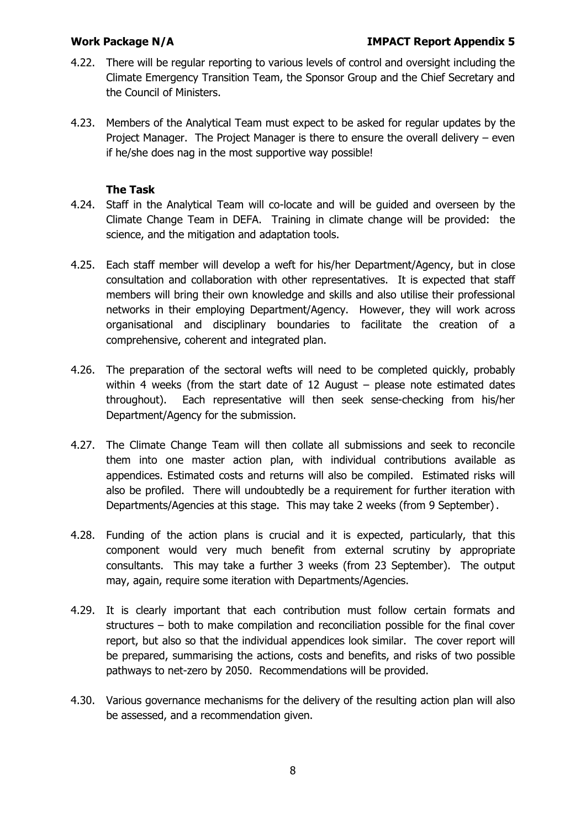- 4.22. There will be regular reporting to various levels of control and oversight including the Climate Emergency Transition Team, the Sponsor Group and the Chief Secretary and the Council of Ministers.
- 4.23. Members of the Analytical Team must expect to be asked for regular updates by the Project Manager. The Project Manager is there to ensure the overall delivery – even if he/she does nag in the most supportive way possible!

### **The Task**

- 4.24. Staff in the Analytical Team will co-locate and will be guided and overseen by the Climate Change Team in DEFA. Training in climate change will be provided: the science, and the mitigation and adaptation tools.
- 4.25. Each staff member will develop a weft for his/her Department/Agency, but in close consultation and collaboration with other representatives. It is expected that staff members will bring their own knowledge and skills and also utilise their professional networks in their employing Department/Agency. However, they will work across organisational and disciplinary boundaries to facilitate the creation of a comprehensive, coherent and integrated plan.
- 4.26. The preparation of the sectoral wefts will need to be completed quickly, probably within 4 weeks (from the start date of 12 August – please note estimated dates throughout). Each representative will then seek sense-checking from his/her Department/Agency for the submission.
- 4.27. The Climate Change Team will then collate all submissions and seek to reconcile them into one master action plan, with individual contributions available as appendices. Estimated costs and returns will also be compiled. Estimated risks will also be profiled. There will undoubtedly be a requirement for further iteration with Departments/Agencies at this stage. This may take 2 weeks (from 9 September).
- 4.28. Funding of the action plans is crucial and it is expected, particularly, that this component would very much benefit from external scrutiny by appropriate consultants. This may take a further 3 weeks (from 23 September). The output may, again, require some iteration with Departments/Agencies.
- 4.29. It is clearly important that each contribution must follow certain formats and structures – both to make compilation and reconciliation possible for the final cover report, but also so that the individual appendices look similar. The cover report will be prepared, summarising the actions, costs and benefits, and risks of two possible pathways to net-zero by 2050. Recommendations will be provided.
- 4.30. Various governance mechanisms for the delivery of the resulting action plan will also be assessed, and a recommendation given.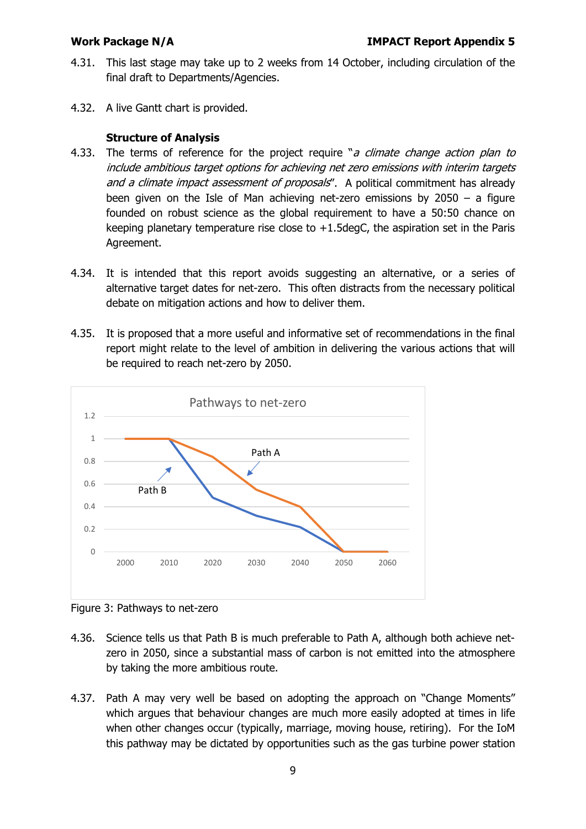- 4.31. This last stage may take up to 2 weeks from 14 October, including circulation of the final draft to Departments/Agencies.
- 4.32. A live Gantt chart is provided.

### **Structure of Analysis**

- 4.33. The terms of reference for the project require "a climate change action plan to include ambitious target options for achieving net zero emissions with interim targets and a climate impact assessment of proposals". A political commitment has already been given on the Isle of Man achieving net-zero emissions by 2050 – a figure founded on robust science as the global requirement to have a 50:50 chance on keeping planetary temperature rise close to +1.5degC, the aspiration set in the Paris Agreement.
- 4.34. It is intended that this report avoids suggesting an alternative, or a series of alternative target dates for net-zero. This often distracts from the necessary political debate on mitigation actions and how to deliver them.
- 4.35. It is proposed that a more useful and informative set of recommendations in the final report might relate to the level of ambition in delivering the various actions that will be required to reach net-zero by 2050.



Figure 3: Pathways to net-zero

- 4.36. Science tells us that Path B is much preferable to Path A, although both achieve netzero in 2050, since a substantial mass of carbon is not emitted into the atmosphere by taking the more ambitious route.
- 4.37. Path A may very well be based on adopting the approach on "Change Moments" which argues that behaviour changes are much more easily adopted at times in life when other changes occur (typically, marriage, moving house, retiring). For the IoM this pathway may be dictated by opportunities such as the gas turbine power station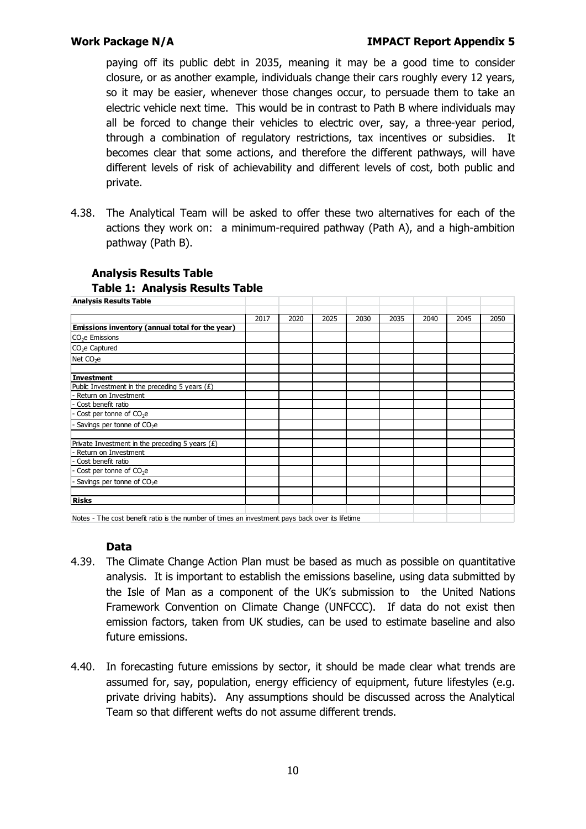paying off its public debt in 2035, meaning it may be a good time to consider closure, or as another example, individuals change their cars roughly every 12 years, so it may be easier, whenever those changes occur, to persuade them to take an electric vehicle next time. This would be in contrast to Path B where individuals may all be forced to change their vehicles to electric over, say, a three-year period, through a combination of regulatory restrictions, tax incentives or subsidies. It becomes clear that some actions, and therefore the different pathways, will have different levels of risk of achievability and different levels of cost, both public and private.

4.38. The Analytical Team will be asked to offer these two alternatives for each of the actions they work on: a minimum-required pathway (Path A), and a high-ambition pathway (Path B).

| <b>Analysis Results Table</b>                     |      |      |      |      |      |      |      |      |
|---------------------------------------------------|------|------|------|------|------|------|------|------|
|                                                   | 2017 | 2020 | 2025 | 2030 | 2035 | 2040 | 2045 | 2050 |
| Emissions inventory (annual total for the year)   |      |      |      |      |      |      |      |      |
| $CO2e$ Emissions                                  |      |      |      |      |      |      |      |      |
| CO <sub>2</sub> e Captured                        |      |      |      |      |      |      |      |      |
| Net $CO2e$                                        |      |      |      |      |      |      |      |      |
| <b>Investment</b>                                 |      |      |      |      |      |      |      |      |
| Public Investment in the preceding 5 years $(E)$  |      |      |      |      |      |      |      |      |
| Return on Investment                              |      |      |      |      |      |      |      |      |
| Cost benefit ratio                                |      |      |      |      |      |      |      |      |
| Cost per tonne of $CO2e$                          |      |      |      |      |      |      |      |      |
| Savings per tonne of $CO2e$                       |      |      |      |      |      |      |      |      |
| Private Investment in the preceding 5 years $(E)$ |      |      |      |      |      |      |      |      |
| Return on Investment                              |      |      |      |      |      |      |      |      |
| Cost benefit ratio                                |      |      |      |      |      |      |      |      |
| Cost per tonne of $CO2e$                          |      |      |      |      |      |      |      |      |
| Savings per tonne of $CO2e$                       |      |      |      |      |      |      |      |      |
|                                                   |      |      |      |      |      |      |      |      |
| <b>Risks</b>                                      |      |      |      |      |      |      |      |      |

### **Analysis Results Table**

# **Table 1: Analysis Results Table**

Notes - The cost benefit ratio is the number of times an investment pays back over its lifetime

### **Data**

- 4.39. The Climate Change Action Plan must be based as much as possible on quantitative analysis. It is important to establish the emissions baseline, using data submitted by the Isle of Man as a component of the UK's submission to the United Nations Framework Convention on Climate Change (UNFCCC). If data do not exist then emission factors, taken from UK studies, can be used to estimate baseline and also future emissions.
- 4.40. In forecasting future emissions by sector, it should be made clear what trends are assumed for, say, population, energy efficiency of equipment, future lifestyles (e.g. private driving habits). Any assumptions should be discussed across the Analytical Team so that different wefts do not assume different trends.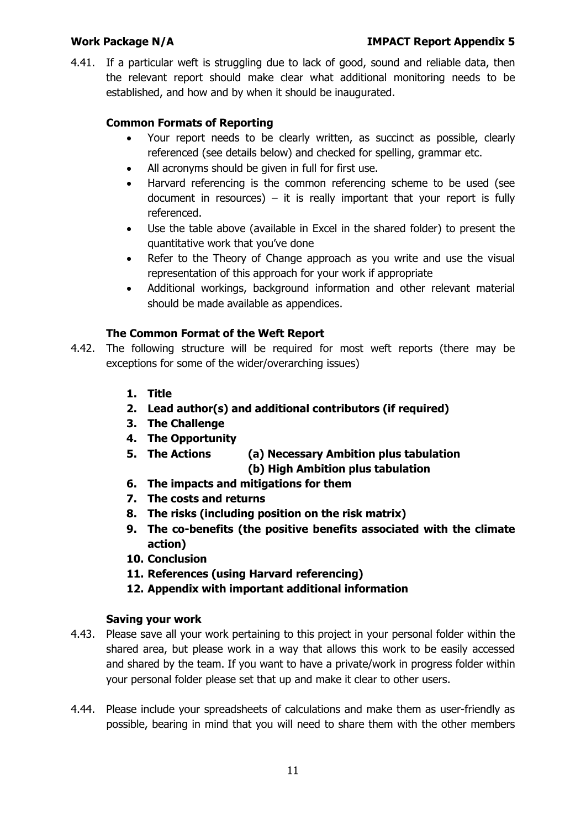4.41. If a particular weft is struggling due to lack of good, sound and reliable data, then the relevant report should make clear what additional monitoring needs to be established, and how and by when it should be inaugurated.

# **Common Formats of Reporting**

- Your report needs to be clearly written, as succinct as possible, clearly referenced (see details below) and checked for spelling, grammar etc.
- All acronyms should be given in full for first use.
- Harvard referencing is the common referencing scheme to be used (see document in resources) – it is really important that your report is fully referenced.
- Use the table above (available in Excel in the shared folder) to present the quantitative work that you've done
- Refer to the Theory of Change approach as you write and use the visual representation of this approach for your work if appropriate
- Additional workings, background information and other relevant material should be made available as appendices.

# **The Common Format of the Weft Report**

- 4.42. The following structure will be required for most weft reports (there may be exceptions for some of the wider/overarching issues)
	- **1. Title**
	- **2. Lead author(s) and additional contributors (if required)**
	- **3. The Challenge**
	- **4. The Opportunity**
	- **5. The Actions (a) Necessary Ambition plus tabulation (b) High Ambition plus tabulation**
	- **6. The impacts and mitigations for them**
	- **7. The costs and returns**
	- **8. The risks (including position on the risk matrix)**
	- **9. The co-benefits (the positive benefits associated with the climate action)**
	- **10. Conclusion**
	- **11. References (using Harvard referencing)**
	- **12. Appendix with important additional information**

# **Saving your work**

- 4.43. Please save all your work pertaining to this project in your personal folder within the shared area, but please work in a way that allows this work to be easily accessed and shared by the team. If you want to have a private/work in progress folder within your personal folder please set that up and make it clear to other users.
- 4.44. Please include your spreadsheets of calculations and make them as user-friendly as possible, bearing in mind that you will need to share them with the other members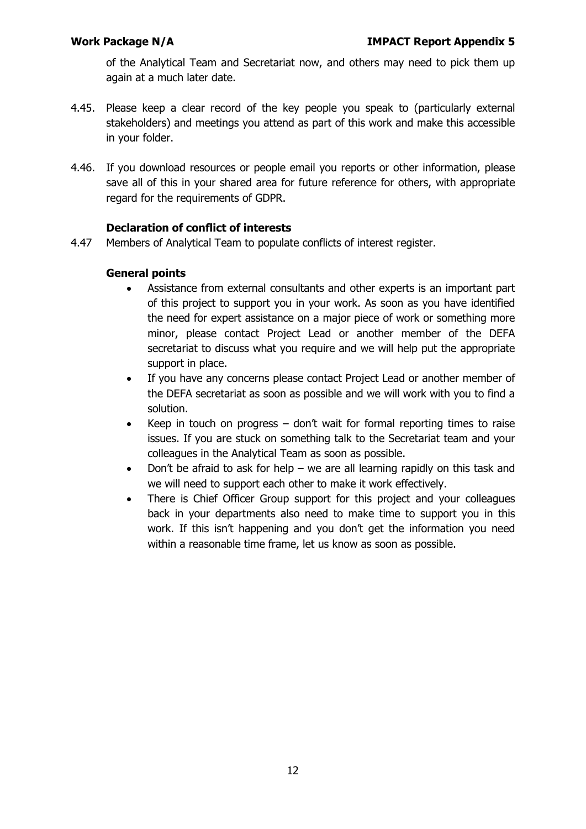of the Analytical Team and Secretariat now, and others may need to pick them up again at a much later date.

- 4.45. Please keep a clear record of the key people you speak to (particularly external stakeholders) and meetings you attend as part of this work and make this accessible in your folder.
- 4.46. If you download resources or people email you reports or other information, please save all of this in your shared area for future reference for others, with appropriate regard for the requirements of GDPR.

### **Declaration of conflict of interests**

4.47 Members of Analytical Team to populate conflicts of interest register.

### **General points**

- Assistance from external consultants and other experts is an important part of this project to support you in your work. As soon as you have identified the need for expert assistance on a major piece of work or something more minor, please contact Project Lead or another member of the DEFA secretariat to discuss what you require and we will help put the appropriate support in place.
- If you have any concerns please contact Project Lead or another member of the DEFA secretariat as soon as possible and we will work with you to find a solution.
- Keep in touch on progress don't wait for formal reporting times to raise issues. If you are stuck on something talk to the Secretariat team and your colleagues in the Analytical Team as soon as possible.
- Don't be afraid to ask for help we are all learning rapidly on this task and we will need to support each other to make it work effectively.
- There is Chief Officer Group support for this project and your colleagues back in your departments also need to make time to support you in this work. If this isn't happening and you don't get the information you need within a reasonable time frame, let us know as soon as possible.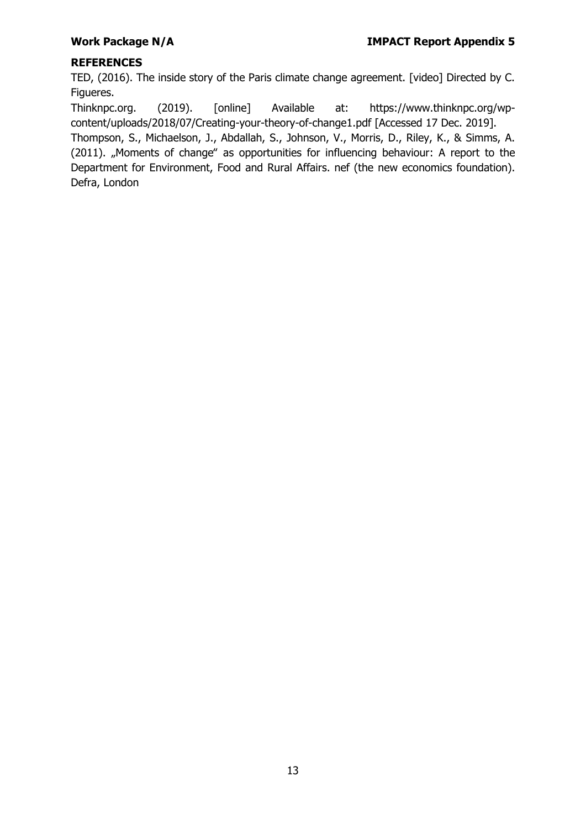# **REFERENCES**

TED, (2016). The inside story of the Paris climate change agreement. [video] Directed by C. Figueres.

Thinknpc.org. (2019). [online] Available at: https://www.thinknpc.org/wpcontent/uploads/2018/07/Creating-your-theory-of-change1.pdf [Accessed 17 Dec. 2019].

Thompson, S., Michaelson, J., Abdallah, S., Johnson, V., Morris, D., Riley, K., & Simms, A. (2011). "Moments of change" as opportunities for influencing behaviour: A report to the Department for Environment, Food and Rural Affairs. nef (the new economics foundation). Defra, London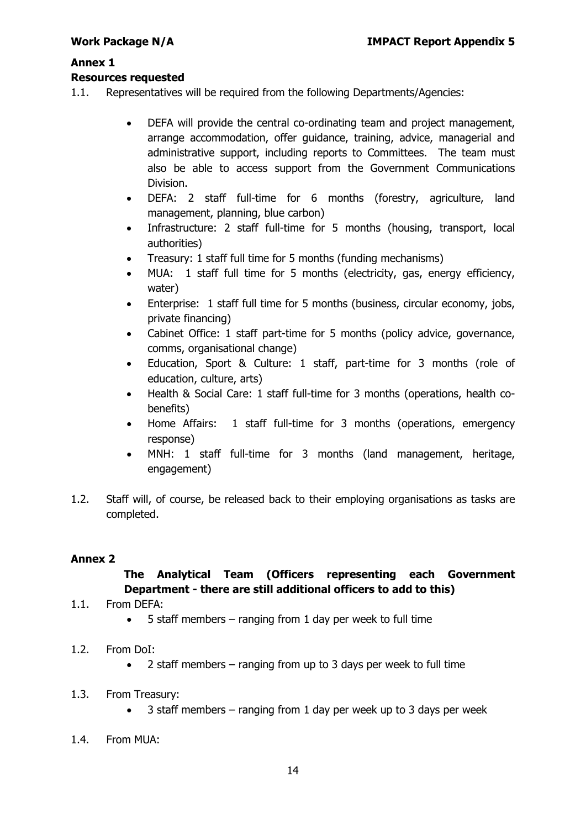### **Annex 1**

### **Resources requested**

- 1.1. Representatives will be required from the following Departments/Agencies:
	- DEFA will provide the central co-ordinating team and project management, arrange accommodation, offer guidance, training, advice, managerial and administrative support, including reports to Committees. The team must also be able to access support from the Government Communications Division.
	- DEFA: 2 staff full-time for 6 months (forestry, agriculture, land management, planning, blue carbon)
	- Infrastructure: 2 staff full-time for 5 months (housing, transport, local authorities)
	- Treasury: 1 staff full time for 5 months (funding mechanisms)
	- MUA: 1 staff full time for 5 months (electricity, gas, energy efficiency, water)
	- Enterprise: 1 staff full time for 5 months (business, circular economy, jobs, private financing)
	- Cabinet Office: 1 staff part-time for 5 months (policy advice, governance, comms, organisational change)
	- Education, Sport & Culture: 1 staff, part-time for 3 months (role of education, culture, arts)
	- Health & Social Care: 1 staff full-time for 3 months (operations, health cobenefits)
	- Home Affairs: 1 staff full-time for 3 months (operations, emergency response)
	- MNH: 1 staff full-time for 3 months (land management, heritage, engagement)
- 1.2. Staff will, of course, be released back to their employing organisations as tasks are completed.

### **Annex 2**

# **The Analytical Team (Officers representing each Government Department - there are still additional officers to add to this)**

- 1.1. From DEFA:
	- 5 staff members ranging from 1 day per week to full time
- 1.2. From DoI:
	- $\bullet$  2 staff members ranging from up to 3 days per week to full time
- 1.3. From Treasury:
	- $\bullet$  3 staff members ranging from 1 day per week up to 3 days per week
- 1.4. From MUA: